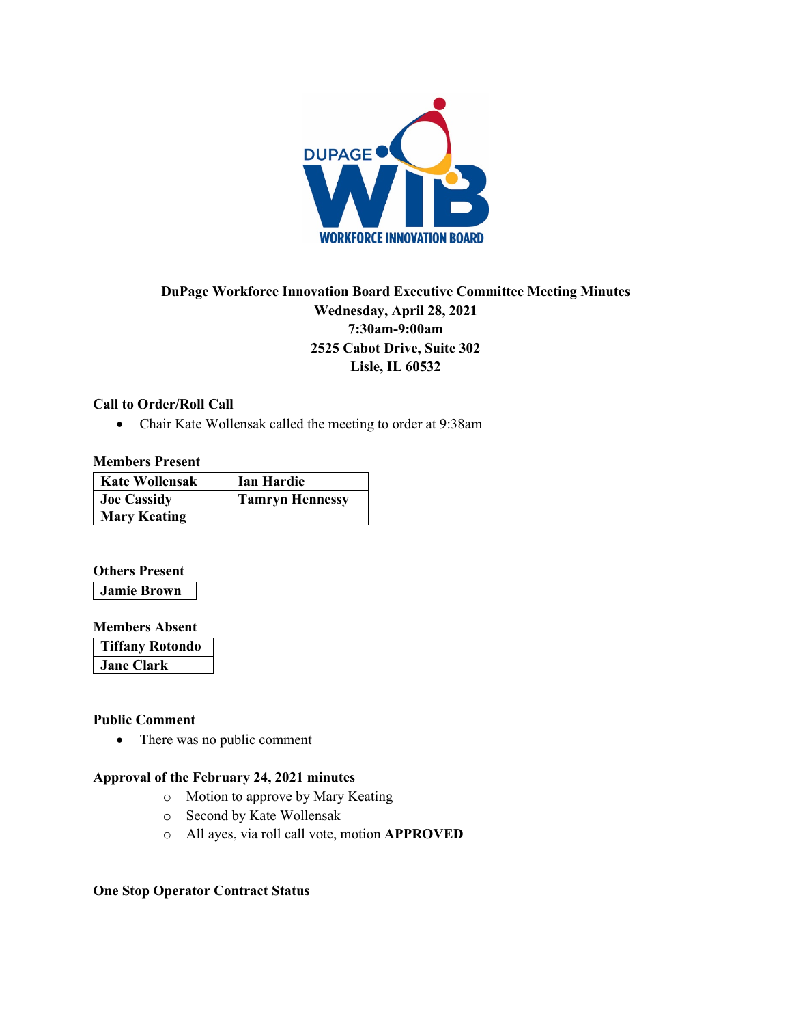

# **DuPage Workforce Innovation Board Executive Committee Meeting Minutes Wednesday, April 28, 2021 7:30am-9:00am 2525 Cabot Drive, Suite 302 Lisle, IL 60532**

### **Call to Order/Roll Call**

• Chair Kate Wollensak called the meeting to order at 9:38am

### **Members Present**

| <b>Kate Wollensak</b> | Ian Hardie             |
|-----------------------|------------------------|
| <b>Joe Cassidy</b>    | <b>Tamryn Hennessy</b> |
| <b>Mary Keating</b>   |                        |

### **Others Present**

**Jamie Brown**

### **Members Absent**

| <b>Tiffany Rotondo</b> |  |
|------------------------|--|
| Jane Clark             |  |

### **Public Comment**

• There was no public comment

## **Approval of the February 24, 2021 minutes**

- o Motion to approve by Mary Keating
- o Second by Kate Wollensak
- o All ayes, via roll call vote, motion **APPROVED**

### **One Stop Operator Contract Status**